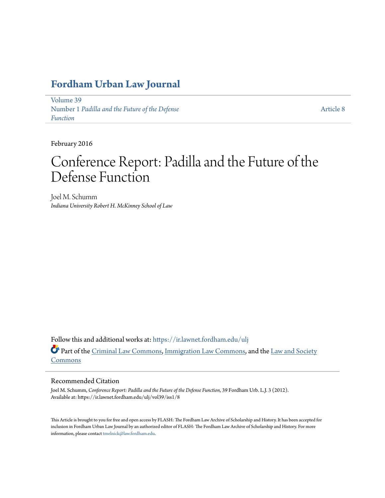# **[Fordham Urban Law Journal](https://ir.lawnet.fordham.edu/ulj?utm_source=ir.lawnet.fordham.edu%2Fulj%2Fvol39%2Fiss1%2F8&utm_medium=PDF&utm_campaign=PDFCoverPages)**

[Volume 39](https://ir.lawnet.fordham.edu/ulj/vol39?utm_source=ir.lawnet.fordham.edu%2Fulj%2Fvol39%2Fiss1%2F8&utm_medium=PDF&utm_campaign=PDFCoverPages) Number 1 *[Padilla and the Future of the Defense](https://ir.lawnet.fordham.edu/ulj/vol39/iss1?utm_source=ir.lawnet.fordham.edu%2Fulj%2Fvol39%2Fiss1%2F8&utm_medium=PDF&utm_campaign=PDFCoverPages) [Function](https://ir.lawnet.fordham.edu/ulj/vol39/iss1?utm_source=ir.lawnet.fordham.edu%2Fulj%2Fvol39%2Fiss1%2F8&utm_medium=PDF&utm_campaign=PDFCoverPages)*

[Article 8](https://ir.lawnet.fordham.edu/ulj/vol39/iss1/8?utm_source=ir.lawnet.fordham.edu%2Fulj%2Fvol39%2Fiss1%2F8&utm_medium=PDF&utm_campaign=PDFCoverPages)

February 2016

# Conference Report: Padilla and the Future of the Defense Function

Joel M. Schumm *Indiana University Robert H. McKinney School of Law*

Follow this and additional works at: [https://ir.lawnet.fordham.edu/ulj](https://ir.lawnet.fordham.edu/ulj?utm_source=ir.lawnet.fordham.edu%2Fulj%2Fvol39%2Fiss1%2F8&utm_medium=PDF&utm_campaign=PDFCoverPages) Part of the [Criminal Law Commons](http://network.bepress.com/hgg/discipline/912?utm_source=ir.lawnet.fordham.edu%2Fulj%2Fvol39%2Fiss1%2F8&utm_medium=PDF&utm_campaign=PDFCoverPages), [Immigration Law Commons](http://network.bepress.com/hgg/discipline/604?utm_source=ir.lawnet.fordham.edu%2Fulj%2Fvol39%2Fiss1%2F8&utm_medium=PDF&utm_campaign=PDFCoverPages), and the [Law and Society](http://network.bepress.com/hgg/discipline/853?utm_source=ir.lawnet.fordham.edu%2Fulj%2Fvol39%2Fiss1%2F8&utm_medium=PDF&utm_campaign=PDFCoverPages) [Commons](http://network.bepress.com/hgg/discipline/853?utm_source=ir.lawnet.fordham.edu%2Fulj%2Fvol39%2Fiss1%2F8&utm_medium=PDF&utm_campaign=PDFCoverPages)

#### Recommended Citation

Joel M. Schumm, *Conference Report: Padilla and the Future of the Defense Function*, 39 Fordham Urb. L.J. 3 (2012). Available at: https://ir.lawnet.fordham.edu/ulj/vol39/iss1/8

This Article is brought to you for free and open access by FLASH: The Fordham Law Archive of Scholarship and History. It has been accepted for inclusion in Fordham Urban Law Journal by an authorized editor of FLASH: The Fordham Law Archive of Scholarship and History. For more information, please contact [tmelnick@law.fordham.edu](mailto:tmelnick@law.fordham.edu).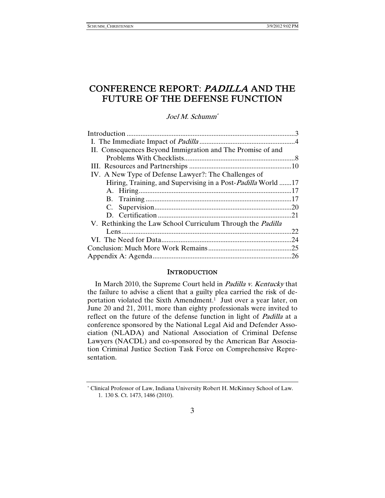# CONFERENCE REPORT: PADILLA AND THE FUTURE OF THE DEFENSE FUNCTION

#### Joel M. Schumm\*

| II. Consequences Beyond Immigration and The Promise of and         |     |
|--------------------------------------------------------------------|-----|
|                                                                    |     |
|                                                                    |     |
| IV. A New Type of Defense Lawyer?: The Challenges of               |     |
| Hiring, Training, and Supervising in a Post-Padilla World 17       |     |
|                                                                    |     |
|                                                                    |     |
|                                                                    |     |
|                                                                    | .21 |
| V. Rethinking the Law School Curriculum Through the <i>Padilla</i> |     |
|                                                                    | 22. |
|                                                                    | .24 |
|                                                                    |     |
|                                                                    | .26 |

#### **INTRODUCTION**

In March 2010, the Supreme Court held in Padilla v. Kentucky that the failure to advise a client that a guilty plea carried the risk of deportation violated the Sixth Amendment.<sup>1</sup> Just over a year later, on June 20 and 21, 2011, more than eighty professionals were invited to reflect on the future of the defense function in light of *Padilla* at a conference sponsored by the National Legal Aid and Defender Association (NLADA) and National Association of Criminal Defense Lawyers (NACDL) and co-sponsored by the American Bar Association Criminal Justice Section Task Force on Comprehensive Representation.

<sup>\*</sup> Clinical Professor of Law, Indiana University Robert H. McKinney School of Law. 1. 130 S. Ct. 1473, 1486 (2010).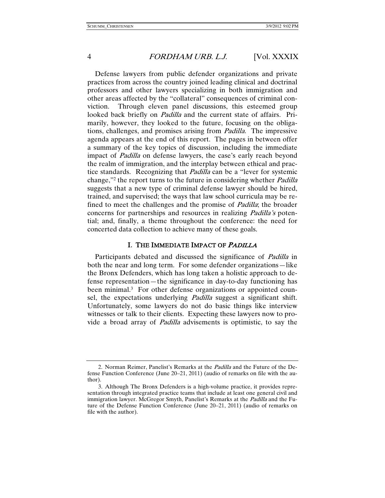Defense lawyers from public defender organizations and private practices from across the country joined leading clinical and doctrinal professors and other lawyers specializing in both immigration and other areas affected by the "collateral" consequences of criminal conviction. Through eleven panel discussions, this esteemed group looked back briefly on *Padilla* and the current state of affairs. Primarily, however, they looked to the future, focusing on the obligations, challenges, and promises arising from Padilla. The impressive agenda appears at the end of this report. The pages in between offer a summary of the key topics of discussion, including the immediate impact of Padilla on defense lawyers, the case's early reach beyond the realm of immigration, and the interplay between ethical and practice standards. Recognizing that *Padilla* can be a "lever for systemic change,"2 the report turns to the future in considering whether Padilla suggests that a new type of criminal defense lawyer should be hired, trained, and supervised; the ways that law school curricula may be refined to meet the challenges and the promise of *Padilla*; the broader concerns for partnerships and resources in realizing Padilla's potential; and, finally, a theme throughout the conference: the need for concerted data collection to achieve many of these goals.

#### I. THE IMMEDIATE IMPACT OF <sup>P</sup>ADILLA

Participants debated and discussed the significance of *Padilla* in both the near and long term. For some defender organizations—like the Bronx Defenders, which has long taken a holistic approach to defense representation—the significance in day-to-day functioning has been minimal.<sup>3</sup> For other defense organizations or appointed counsel, the expectations underlying *Padilla* suggest a significant shift. Unfortunately, some lawyers do not do basic things like interview witnesses or talk to their clients. Expecting these lawyers now to provide a broad array of Padilla advisements is optimistic, to say the

 <sup>2.</sup> Norman Reimer, Panelist's Remarks at the Padilla and the Future of the Defense Function Conference (June 20–21, 2011) (audio of remarks on file with the author).

 <sup>3.</sup> Although The Bronx Defenders is a high-volume practice, it provides representation through integrated practice teams that include at least one general civil and immigration lawyer. McGregor Smyth, Panelist's Remarks at the *Padilla* and the Future of the Defense Function Conference (June 20–21, 2011) (audio of remarks on file with the author).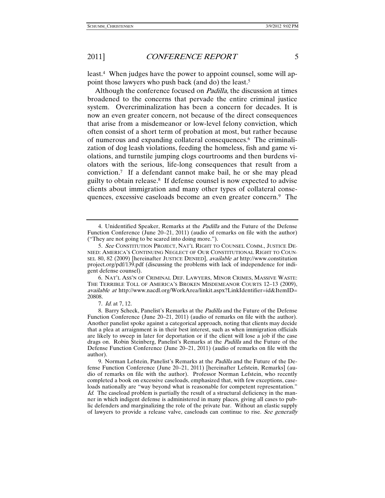least.4 When judges have the power to appoint counsel, some will appoint those lawyers who push back (and do) the least.5

Although the conference focused on *Padilla*, the discussion at times broadened to the concerns that pervade the entire criminal justice system. Overcriminalization has been a concern for decades. It is now an even greater concern, not because of the direct consequences that arise from a misdemeanor or low-level felony conviction, which often consist of a short term of probation at most, but rather because of numerous and expanding collateral consequences.6 The criminalization of dog leash violations, feeding the homeless, fish and game violations, and turnstile jumping clogs courtrooms and then burdens violators with the serious, life-long consequences that result from a conviction.7 If a defendant cannot make bail, he or she may plead guilty to obtain release.8 If defense counsel is now expected to advise clients about immigration and many other types of collateral consequences, excessive caseloads become an even greater concern.9 The

 6. NAT'L ASS'N OF CRIMINAL DEF. LAWYERS, MINOR CRIMES, MASSIVE WASTE: THE TERRIBLE TOLL OF AMERICA'S BROKEN MISDEMEANOR COURTS 12–13 (2009), available at http://www.nacdl.org/WorkArea/linkit.aspx?LinkIdentifier=id&ItemID= 20808.

 <sup>4.</sup> Unidentified Speaker, Remarks at the Padilla and the Future of the Defense Function Conference (June 20–21, 2011) (audio of remarks on file with the author) ("They are not going to be scared into doing more.").

<sup>5</sup>. See CONSTITUTION PROJECT, NAT'L RIGHT TO COUNSEL COMM., JUSTICE DE-NIED: AMERICA'S CONTINUING NEGLECT OF OUR CONSTITUTIONAL RIGHT TO COUN-SEL 80, 82 (2009) [hereinafter JUSTICE DENIED], available at http://www.constitution project.org/pdf/139.pdf (discussing the problems with lack of independence for indigent defense counsel).

<sup>7</sup>. Id. at 7, 12.

 <sup>8.</sup> Barry Scheck, Panelist's Remarks at the Padilla and the Future of the Defense Function Conference (June 20–21, 2011) (audio of remarks on file with the author). Another panelist spoke against a categorical approach, noting that clients may decide that a plea at arraignment is in their best interest, such as when immigration officials are likely to sweep in later for deportation or if the client will lose a job if the case drags on. Robin Steinberg, Panelist's Remarks at the *Padilla* and the Future of the Defense Function Conference (June 20–21, 2011) (audio of remarks on file with the author).

<sup>9.</sup> Norman Lefstein, Panelist's Remarks at the *Padilla* and the Future of the Defense Function Conference (June 20–21, 2011) [hereinafter Lefstein, Remarks] (audio of remarks on file with the author). Professor Norman Lefstein, who recently completed a book on excessive caseloads, emphasized that, with few exceptions, caseloads nationally are "way beyond what is reasonable for competent representation." Id. The caseload problem is partially the result of a structural deficiency in the manner in which indigent defense is administered in many places, giving all cases to public defenders and marginalizing the role of the private bar. Without an elastic supply of lawyers to provide a release valve, caseloads can continue to rise. See generally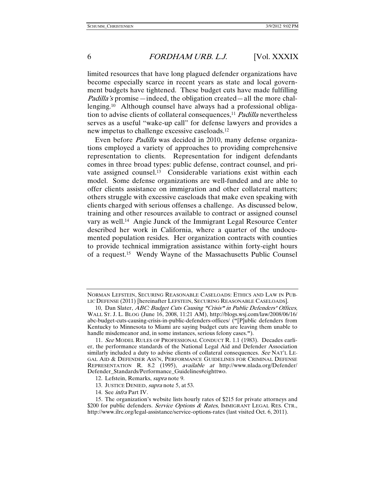limited resources that have long plagued defender organizations have become especially scarce in recent years as state and local government budgets have tightened. These budget cuts have made fulfilling Padilla's promise—indeed, the obligation created—all the more challenging.10 Although counsel have always had a professional obligation to advise clients of collateral consequences,<sup>11</sup> Padilla nevertheless serves as a useful "wake-up call" for defense lawyers and provides a new impetus to challenge excessive caseloads.12

Even before Padilla was decided in 2010, many defense organizations employed a variety of approaches to providing comprehensive representation to clients. Representation for indigent defendants comes in three broad types: public defense, contract counsel, and private assigned counsel.13 Considerable variations exist within each model. Some defense organizations are well-funded and are able to offer clients assistance on immigration and other collateral matters; others struggle with excessive caseloads that make even speaking with clients charged with serious offenses a challenge. As discussed below, training and other resources available to contract or assigned counsel vary as well.14 Angie Junck of the Immigrant Legal Resource Center described her work in California, where a quarter of the undocumented population resides. Her organization contracts with counties to provide technical immigration assistance within forty-eight hours of a request.15 Wendy Wayne of the Massachusetts Public Counsel

- 13. JUSTICE DENIED, supra note 5, at 53.
- 14. See infra Part IV.

NORMAN LEFSTEIN, SECURING REASONABLE CASELOADS: ETHICS AND LAW IN PUB-LIC DEFENSE (2011) [hereinafter LEFSTEIN, SECURING REASONABLE CASELOADS].

<sup>10.</sup> Dan Slater, *ABC: Budget Cuts Causing "Crisis" in Public Defenders' Offices*, WALL ST. J. L. BLOG (June 16, 2008, 11:21 AM), http://blogs.wsj.com/law/2008/06/16/ abc-budget-cuts-causing-crisis-in-public-defenders-offices/ ("[P]ublic defenders from Kentucky to Minnesota to Miami are saying budget cuts are leaving them unable to handle misdemeanor and, in some instances, serious felony cases.").

<sup>11</sup>. See MODEL RULES OF PROFESSIONAL CONDUCT R. 1.1 (1983). Decades earlier, the performance standards of the National Legal Aid and Defender Association similarly included a duty to advise clients of collateral consequences. See NAT'L LE-GAL AID & DEFENDER ASS'N, PERFORMANCE GUIDELINES FOR CRIMINAL DEFENSE REPRESENTATION R. 8.2 (1995), available at http://www.nlada.org/Defender/ Defender\_Standards/Performance\_Guidelines#eighttwo.

 <sup>12.</sup> Lefstein, Remarks, supra note 9.

<sup>15</sup>. The organization's website lists hourly rates of \$215 for private attorneys and \$200 for public defenders. Service Options & Rates, IMMIGRANT LEGAL RES. CTR., http://www.ilrc.org/legal-assistance/service-options-rates (last visited Oct. 6, 2011).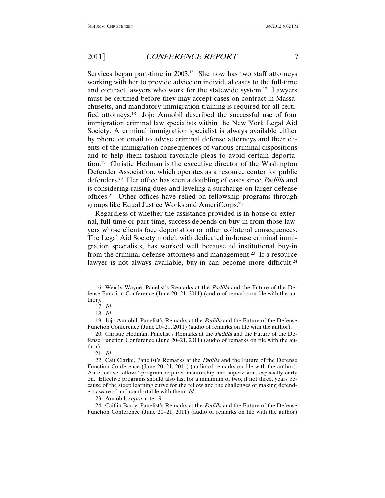Services began part-time in 2003.16 She now has two staff attorneys working with her to provide advice on individual cases to the full-time and contract lawyers who work for the statewide system.17 Lawyers must be certified before they may accept cases on contract in Massachusetts, and mandatory immigration training is required for all certified attorneys.18 Jojo Annobil described the successful use of four immigration criminal law specialists within the New York Legal Aid Society. A criminal immigration specialist is always available either by phone or email to advise criminal defense attorneys and their clients of the immigration consequences of various criminal dispositions and to help them fashion favorable pleas to avoid certain deportation.19 Christie Hedman is the executive director of the Washington Defender Association, which operates as a resource center for public defenders.<sup>20</sup> Her office has seen a doubling of cases since *Padilla* and is considering raising dues and leveling a surcharge on larger defense offices.21 Other offices have relied on fellowship programs through groups like Equal Justice Works and AmeriCorps.22

Regardless of whether the assistance provided is in-house or external, full-time or part-time, success depends on buy-in from those lawyers whose clients face deportation or other collateral consequences. The Legal Aid Society model, with dedicated in-house criminal immigration specialists, has worked well because of institutional buy-in from the criminal defense attorneys and management.23 If a resource lawyer is not always available, buy-in can become more difficult.<sup>24</sup>

23. Annobil, supra note 19.

 <sup>16.</sup> Wendy Wayne, Panelist's Remarks at the Padilla and the Future of the Defense Function Conference (June 20–21, 2011) (audio of remarks on file with the author).

 <sup>17.</sup> Id.

 <sup>18.</sup> Id.

 <sup>19.</sup> Jojo Annobil, Panelist's Remarks at the Padilla and the Future of the Defense Function Conference (June 20–21, 2011) (audio of remarks on file with the author).

<sup>20.</sup> Christie Hedman, Panelist's Remarks at the *Padilla* and the Future of the Defense Function Conference (June 20–21, 2011) (audio of remarks on file with the author).

 <sup>21.</sup> Id.

 <sup>22.</sup> Cait Clarke, Panelist's Remarks at the Padilla and the Future of the Defense Function Conference (June 20–21, 2011) (audio of remarks on file with the author). An effective fellows' program requires mentorship and supervision, especially early on. Effective programs should also last for a minimum of two, if not three, years because of the steep learning curve for the fellow and the challenges of making defenders aware of and comfortable with them. Id.

 <sup>24.</sup> Caitlin Barry, Panelist's Remarks at the Padilla and the Future of the Defense Function Conference (June 20–21, 2011) (audio of remarks on file with the author)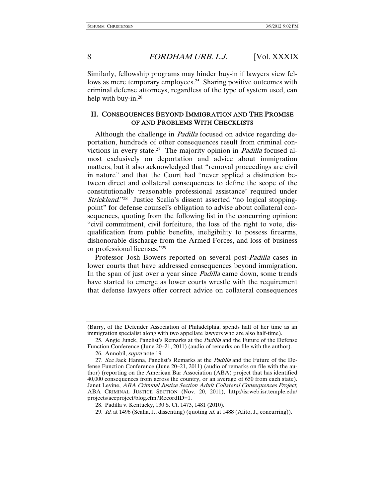Similarly, fellowship programs may hinder buy-in if lawyers view fellows as mere temporary employees.<sup>25</sup> Sharing positive outcomes with criminal defense attorneys, regardless of the type of system used, can help with buy-in.26

#### II. CONSEQUENCES BEYOND IMMIGRATION AND THE PROMISE OF AND PROBLEMS WITH CHECKLISTS

Although the challenge in *Padilla* focused on advice regarding deportation, hundreds of other consequences result from criminal convictions in every state.<sup>27</sup> The majority opinion in *Padilla* focused almost exclusively on deportation and advice about immigration matters, but it also acknowledged that "removal proceedings are civil in nature" and that the Court had "never applied a distinction between direct and collateral consequences to define the scope of the constitutionally 'reasonable professional assistance' required under Strickland."<sup>28</sup> Justice Scalia's dissent asserted "no logical stoppingpoint" for defense counsel's obligation to advise about collateral consequences, quoting from the following list in the concurring opinion: "civil commitment, civil forfeiture, the loss of the right to vote, disqualification from public benefits, ineligibility to possess firearms, dishonorable discharge from the Armed Forces, and loss of business or professional licenses."29

Professor Josh Bowers reported on several post-Padilla cases in lower courts that have addressed consequences beyond immigration. In the span of just over a year since *Padilla* came down, some trends have started to emerge as lower courts wrestle with the requirement that defense lawyers offer correct advice on collateral consequences

<sup>(</sup>Barry, of the Defender Association of Philadelphia, spends half of her time as an immigration specialist along with two appellate lawyers who are also half-time).

 <sup>25.</sup> Angie Junck, Panelist's Remarks at the Padilla and the Future of the Defense Function Conference (June 20–21, 2011) (audio of remarks on file with the author).

 <sup>26.</sup> Annobil, supra note 19.

<sup>27.</sup> See Jack Hanna, Panelist's Remarks at the *Padilla* and the Future of the Defense Function Conference (June 20–21, 2011) (audio of remarks on file with the author) (reporting on the American Bar Association (ABA) project that has identified 40,000 consequences from across the country, or an average of 650 from each state). Janet Levine, ABA Criminal Justice Section Adult Collateral Consequences Project, ABA CRIMINAL JUSTICE SECTION (Nov. 20, 2011), http://isrweb.isr.temple.edu/ projects/accproject/blog.cfm?RecordID=1.

 <sup>28.</sup> Padilla v. Kentucky, 130 S. Ct. 1473, 1481 (2010).

<sup>29</sup>. Id. at 1496 (Scalia, J., dissenting) (quoting id. at 1488 (Alito, J., concurring)).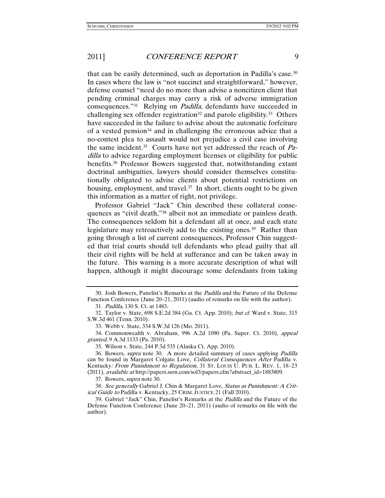that can be easily determined, such as deportation in Padilla's case.30 In cases where the law is "not succinct and straightforward," however, defense counsel "need do no more than advise a noncitizen client that pending criminal charges may carry a risk of adverse immigration consequences."31 Relying on Padilla, defendants have succeeded in challenging sex offender registration<sup>32</sup> and parole eligibility.<sup>33</sup> Others have succeeded in the failure to advise about the automatic forfeiture of a vested pension<sup>34</sup> and in challenging the erroneous advice that a no-contest plea to assault would not prejudice a civil case involving the same incident.<sup>35</sup> Courts have not yet addressed the reach of  $Pa$ dilla to advice regarding employment licenses or eligibility for public benefits.36 Professor Bowers suggested that, notwithstanding extant doctrinal ambiguities, lawyers should consider themselves constitutionally obligated to advise clients about potential restrictions on housing, employment, and travel.<sup>37</sup> In short, clients ought to be given this information as a matter of right, not privilege.

Professor Gabriel "Jack" Chin described these collateral consequences as "civil death,"38 albeit not an immediate or painless death. The consequences seldom hit a defendant all at once, and each state legislature may retroactively add to the existing ones.<sup>39</sup> Rather than going through a list of current consequences, Professor Chin suggested that trial courts should tell defendants who plead guilty that all their civil rights will be held at sufferance and can be taken away in the future. This warning is a more accurate description of what will happen, although it might discourage some defendants from taking

37. Bowers, supra note 30.

38. See generally Gabriel J. Chin & Margaret Love, Status as Punishment: A Critical Guide to Padilla v. Kentucky, 25 CRIM. JUSTICE 21 (Fall 2010).

 <sup>30.</sup> Josh Bowers, Panelist's Remarks at the Padilla and the Future of the Defense Function Conference (June 20–21, 2011) (audio of remarks on file with the author). 31. Padilla, 130 S. Ct. at 1483.

 <sup>32.</sup> Taylor v. State, 698 S.E.2d 384 (Ga. Ct. App. 2010); but cf. Ward v. State, 315 S.W.3d 461 (Tenn. 2010).

 <sup>33.</sup> Webb v. State, 334 S.W.3d 126 (Mo. 2011).

 <sup>34.</sup> Commonwealth v. Abraham, 996 A.2d 1090 (Pa. Super. Ct. 2010), appeal granted, 9 A.3d 1133 (Pa. 2010).

 <sup>35.</sup> Wilson v. State, 244 P.3d 535 (Alaska Ct. App. 2010).

 <sup>36.</sup> Bowers, supra note 30. A more detailed summary of cases applying Padilla can be found in Margaret Colgate Love, Collateral Consequences After Padilla v. Kentucky: From Punishment to Regulation, 31 ST. LOUIS U. PUB. L. REV. 1, 18-23 (2011), available at http://papers.ssrn.com/sol3/papers.cfm?abstract\_id=1883809.

 <sup>39.</sup> Gabriel "Jack" Chin, Panelist's Remarks at the Padilla and the Future of the Defense Function Conference (June 20–21, 2011) (audio of remarks on file with the author).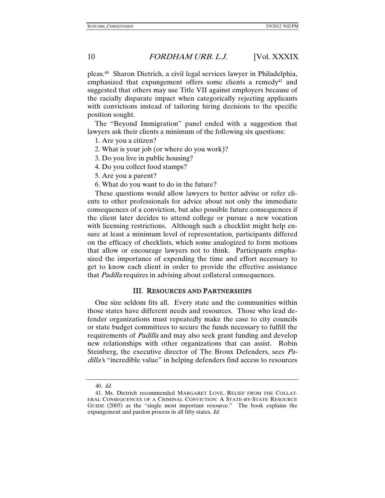pleas.40 Sharon Dietrich, a civil legal services lawyer in Philadelphia, emphasized that expungement offers some clients a remedy<sup>41</sup> and suggested that others may use Title VII against employers because of the racially disparate impact when categorically rejecting applicants with convictions instead of tailoring hiring decisions to the specific position sought.

The "Beyond Immigration" panel ended with a suggestion that lawyers ask their clients a minimum of the following six questions:

- 1. Are you a citizen?
- 2. What is your job (or where do you work)?
- 3. Do you live in public housing?
- 4. Do you collect food stamps?
- 5. Are you a parent?
- 6. What do you want to do in the future?

These questions would allow lawyers to better advise or refer clients to other professionals for advice about not only the immediate consequences of a conviction, but also possible future consequences if the client later decides to attend college or pursue a new vocation with licensing restrictions. Although such a checklist might help ensure at least a minimum level of representation, participants differed on the efficacy of checklists, which some analogized to form motions that allow or encourage lawyers not to think. Participants emphasized the importance of expending the time and effort necessary to get to know each client in order to provide the effective assistance that Padilla requires in advising about collateral consequences.

#### III. RESOURCES AND PARTNERSHIPS

One size seldom fits all. Every state and the communities within those states have different needs and resources. Those who lead defender organizations must repeatedly make the case to city councils or state budget committees to secure the funds necessary to fulfill the requirements of *Padilla* and may also seek grant funding and develop new relationships with other organizations that can assist. Robin Steinberg, the executive director of The Bronx Defenders, sees Padilla's "incredible value" in helping defenders find access to resources

<sup>40</sup>. Id.

 <sup>41.</sup> Ms. Dietrich recommended MARGARET LOVE, RELIEF FROM THE COLLAT-ERAL CONSEQUENCES OF A CRIMINAL CONVICTION: A STATE-BY-STATE RESOURCE GUIDE (2005) as the "single most important resource." The book explains the expungement and pardon process in all fifty states. Id.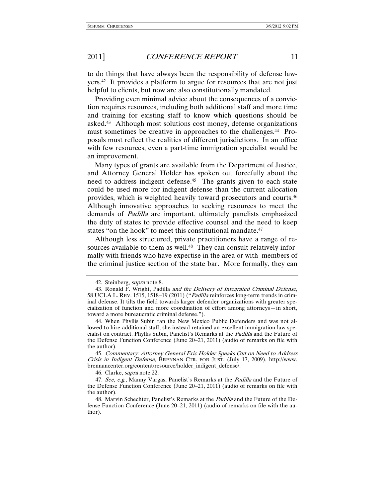to do things that have always been the responsibility of defense lawyers.42 It provides a platform to argue for resources that are not just helpful to clients, but now are also constitutionally mandated.

Providing even minimal advice about the consequences of a conviction requires resources, including both additional staff and more time and training for existing staff to know which questions should be asked.43 Although most solutions cost money, defense organizations must sometimes be creative in approaches to the challenges.44 Proposals must reflect the realities of different jurisdictions. In an office with few resources, even a part-time immigration specialist would be an improvement.

Many types of grants are available from the Department of Justice, and Attorney General Holder has spoken out forcefully about the need to address indigent defense.<sup>45</sup> The grants given to each state could be used more for indigent defense than the current allocation provides, which is weighted heavily toward prosecutors and courts.46 Although innovative approaches to seeking resources to meet the demands of Padilla are important, ultimately panelists emphasized the duty of states to provide effective counsel and the need to keep states "on the hook" to meet this constitutional mandate.<sup>47</sup>

Although less structured, private practitioners have a range of resources available to them as well.<sup>48</sup> They can consult relatively informally with friends who have expertise in the area or with members of the criminal justice section of the state bar. More formally, they can

46. Clarke, supra note 22.

 <sup>42.</sup> Steinberg, supra note 8.

<sup>43.</sup> Ronald F. Wright, Padilla *and the Delivery of Integrated Criminal Defense*, 58 UCLA L. REV. 1515, 1518–19 (2011) ("Padilla reinforces long-term trends in criminal defense. It tilts the field towards larger defender organizations with greater specialization of function and more coordination of effort among attorneys—in short, toward a more bureaucratic criminal defense.").

 <sup>44.</sup> When Phyllis Subin ran the New Mexico Public Defenders and was not allowed to hire additional staff, she instead retained an excellent immigration law specialist on contract. Phyllis Subin, Panelist's Remarks at the Padilla and the Future of the Defense Function Conference (June 20–21, 2011) (audio of remarks on file with the author).

<sup>45</sup>. Commentary: Attorney General Eric Holder Speaks Out on Need to Address Crisis in Indigent Defense, BRENNAN CTR. FOR JUST. (July 17, 2009), http://www. brennancenter.org/content/resource/holder\_indigent\_defense/.

<sup>47.</sup> See, e.g., Manny Vargas, Panelist's Remarks at the *Padilla* and the Future of the Defense Function Conference (June 20–21, 2011) (audio of remarks on file with the author).

<sup>48.</sup> Marvin Schechter, Panelist's Remarks at the *Padilla* and the Future of the Defense Function Conference (June 20–21, 2011) (audio of remarks on file with the author).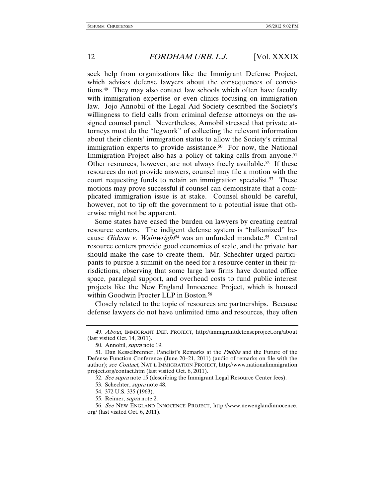seek help from organizations like the Immigrant Defense Project, which advises defense lawyers about the consequences of convictions.49 They may also contact law schools which often have faculty with immigration expertise or even clinics focusing on immigration law. Jojo Annobil of the Legal Aid Society described the Society's willingness to field calls from criminal defense attorneys on the assigned counsel panel. Nevertheless, Annobil stressed that private attorneys must do the "legwork" of collecting the relevant information about their clients' immigration status to allow the Society's criminal immigration experts to provide assistance.<sup>50</sup> For now, the National Immigration Project also has a policy of taking calls from anyone.<sup>51</sup> Other resources, however, are not always freely available.<sup>52</sup> If these resources do not provide answers, counsel may file a motion with the court requesting funds to retain an immigration specialist.<sup>53</sup> These motions may prove successful if counsel can demonstrate that a complicated immigration issue is at stake. Counsel should be careful, however, not to tip off the government to a potential issue that otherwise might not be apparent.

Some states have eased the burden on lawyers by creating central resource centers. The indigent defense system is "balkanized" because Gideon v. Wainwright<sup>54</sup> was an unfunded mandate.<sup>55</sup> Central resource centers provide good economies of scale, and the private bar should make the case to create them. Mr. Schechter urged participants to pursue a summit on the need for a resource center in their jurisdictions, observing that some large law firms have donated office space, paralegal support, and overhead costs to fund public interest projects like the New England Innocence Project, which is housed within Goodwin Procter LLP in Boston.<sup>56</sup>

Closely related to the topic of resources are partnerships. Because defense lawyers do not have unlimited time and resources, they often

<sup>49</sup>. About, IMMIGRANT DEF. PROJECT, http://immigrantdefenseproject.org/about (last visited Oct. 14, 2011).

 <sup>50.</sup> Annobil, supra note 19.

<sup>51.</sup> Dan Kesselbrenner, Panelist's Remarks at the *Padilla* and the Future of the Defense Function Conference (June 20–21, 2011) (audio of remarks on file with the author); see Contact, NAT'L IMMIGRATION PROJECT, http://www.nationalimmigration project.org/contact.htm (last visited Oct. 6, 2011).

<sup>52.</sup> See supra note 15 (describing the Immigrant Legal Resource Center fees).

 <sup>53.</sup> Schechter, supra note 48.

 <sup>54. 372</sup> U.S. 335 (1963).

 <sup>55.</sup> Reimer, supra note 2.

<sup>56</sup>. See NEW ENGLAND INNOCENCE PROJECT, http://www.newenglandinnocence. org/ (last visited Oct. 6, 2011).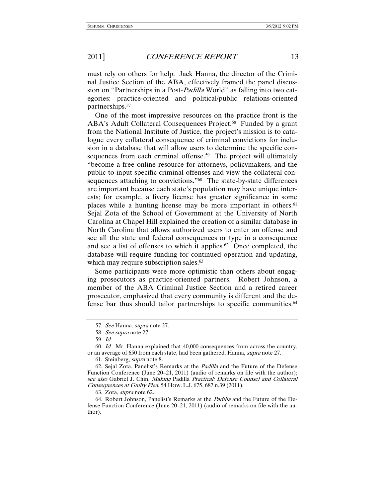must rely on others for help. Jack Hanna, the director of the Criminal Justice Section of the ABA, effectively framed the panel discussion on "Partnerships in a Post-*Padilla* World" as falling into two categories: practice-oriented and political/public relations-oriented partnerships.57

One of the most impressive resources on the practice front is the ABA's Adult Collateral Consequences Project.<sup>58</sup> Funded by a grant from the National Institute of Justice, the project's mission is to catalogue every collateral consequence of criminal convictions for inclusion in a database that will allow users to determine the specific consequences from each criminal offense.<sup>59</sup> The project will ultimately "become a free online resource for attorneys, policymakers, and the public to input specific criminal offenses and view the collateral consequences attaching to convictions."<sup>60</sup> The state-by-state differences are important because each state's population may have unique interests; for example, a livery license has greater significance in some places while a hunting license may be more important in others.<sup>61</sup> Sejal Zota of the School of Government at the University of North Carolina at Chapel Hill explained the creation of a similar database in North Carolina that allows authorized users to enter an offense and see all the state and federal consequences or type in a consequence and see a list of offenses to which it applies.62 Once completed, the database will require funding for continued operation and updating, which may require subscription sales.<sup>63</sup>

Some participants were more optimistic than others about engaging prosecutors as practice-oriented partners. Robert Johnson, a member of the ABA Criminal Justice Section and a retired career prosecutor, emphasized that every community is different and the defense bar thus should tailor partnerships to specific communities.64

60. Id. Mr. Hanna explained that 40,000 consequences from across the country, or an average of 650 from each state, had been gathered. Hanna, supra note 27.

61. Steinberg, supra note 8.

 62. Sejal Zota, Panelist's Remarks at the Padilla and the Future of the Defense Function Conference (June 20–21, 2011) (audio of remarks on file with the author); see also Gabriel J. Chin, Making Padilla Practical: Defense Counsel and Collateral Consequences at Guilty Plea, 54 HOW. L.J. 675, 687 n.39 (2011).

63. Zota, supra note 62.

 64. Robert Johnson, Panelist's Remarks at the Padilla and the Future of the Defense Function Conference (June 20–21, 2011) (audio of remarks on file with the author).

<sup>57</sup>. See Hanna, supra note 27.

<sup>58</sup>. See supra note 27.

<sup>59</sup>. Id.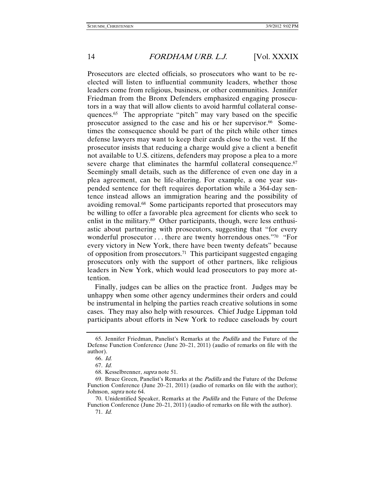Prosecutors are elected officials, so prosecutors who want to be reelected will listen to influential community leaders, whether those leaders come from religious, business, or other communities. Jennifer Friedman from the Bronx Defenders emphasized engaging prosecutors in a way that will allow clients to avoid harmful collateral consequences.65 The appropriate "pitch" may vary based on the specific prosecutor assigned to the case and his or her supervisor.<sup>66</sup> Sometimes the consequence should be part of the pitch while other times defense lawyers may want to keep their cards close to the vest. If the prosecutor insists that reducing a charge would give a client a benefit not available to U.S. citizens, defenders may propose a plea to a more severe charge that eliminates the harmful collateral consequence.<sup>67</sup> Seemingly small details, such as the difference of even one day in a plea agreement, can be life-altering. For example, a one year suspended sentence for theft requires deportation while a 364-day sentence instead allows an immigration hearing and the possibility of avoiding removal.68 Some participants reported that prosecutors may be willing to offer a favorable plea agreement for clients who seek to enlist in the military.<sup>69</sup> Other participants, though, were less enthusiastic about partnering with prosecutors, suggesting that "for every wonderful prosecutor . . . there are twenty horrendous ones."70 "For every victory in New York, there have been twenty defeats" because of opposition from prosecutors.<sup>71</sup> This participant suggested engaging prosecutors only with the support of other partners, like religious leaders in New York, which would lead prosecutors to pay more attention.

Finally, judges can be allies on the practice front. Judges may be unhappy when some other agency undermines their orders and could be instrumental in helping the parties reach creative solutions in some cases. They may also help with resources. Chief Judge Lippman told participants about efforts in New York to reduce caseloads by court

 <sup>65.</sup> Jennifer Friedman, Panelist's Remarks at the Padilla and the Future of the Defense Function Conference (June 20–21, 2011) (audio of remarks on file with the author).

<sup>66</sup>. Id.

<sup>67</sup>. Id.

 <sup>68.</sup> Kesselbrenner, supra note 51.

 <sup>69.</sup> Bruce Green, Panelist's Remarks at the Padilla and the Future of the Defense Function Conference (June 20–21, 2011) (audio of remarks on file with the author); Johnson, supra note 64.

 <sup>70.</sup> Unidentified Speaker, Remarks at the Padilla and the Future of the Defense Function Conference (June 20–21, 2011) (audio of remarks on file with the author). 71. Id.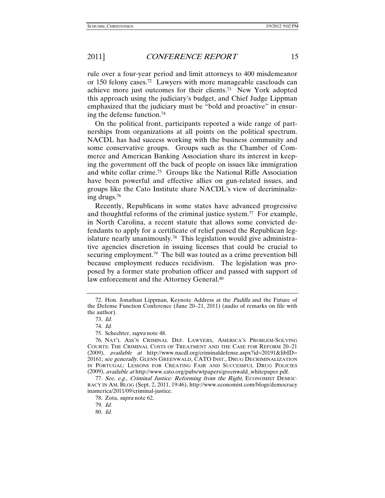rule over a four-year period and limit attorneys to 400 misdemeanor or 150 felony cases.72 Lawyers with more manageable caseloads can achieve more just outcomes for their clients.73 New York adopted this approach using the judiciary's budget, and Chief Judge Lippman emphasized that the judiciary must be "bold and proactive" in ensuring the defense function.74

On the political front, participants reported a wide range of partnerships from organizations at all points on the political spectrum. NACDL has had success working with the business community and some conservative groups. Groups such as the Chamber of Commerce and American Banking Association share its interest in keeping the government off the back of people on issues like immigration and white collar crime.75 Groups like the National Rifle Association have been powerful and effective allies on gun-related issues, and groups like the Cato Institute share NACDL's view of decriminalizing drugs.76

Recently, Republicans in some states have advanced progressive and thoughtful reforms of the criminal justice system.77 For example, in North Carolina, a recent statute that allows some convicted defendants to apply for a certificate of relief passed the Republican legislature nearly unanimously.<sup>78</sup> This legislation would give administrative agencies discretion in issuing licenses that could be crucial to securing employment.<sup>79</sup> The bill was touted as a crime prevention bill because employment reduces recidivism. The legislation was proposed by a former state probation officer and passed with support of law enforcement and the Attorney General.<sup>80</sup>

<sup>72.</sup> Hon. Jonathan Lippman, Keynote Address at the Padilla and the Future of the Defense Function Conference (June 20–21, 2011) (audio of remarks on file with the author).

<sup>73</sup>. Id.

<sup>74</sup>. Id.

 <sup>75.</sup> Schechter, supra note 48.

 <sup>76.</sup> NAT'L ASS'N CRIMINAL DEF. LAWYERS, AMERICA'S PROBLEM-SOLVING COURTS: THE CRIMINAL COSTS OF TREATMENT AND THE CASE FOR REFORM 20–21 (2009), available at http://www.nacdl.org/criminaldefense.aspx?id=20191&libID= 20161; see generally, GLENN GREENWALD, CATO INST., DRUG DECRIMINALIZATION IN PORTUGAL: LESSONS FOR CREATING FAIR AND SUCCESSFUL DRUG POLICIES (2009), available at http://www.cato.org/pubs/wtpapers/greenwald\_whitepaper.pdf.

<sup>77.</sup> See, e.g., Criminal Justice: Reforming from the Right, ECONOMIST DEMOC-RACY IN AM. BLOG (Sept. 2, 2011, 19:46), http://www.economist.com/blogs/democracy inamerica/2011/09/criminal-justice.

 <sup>78.</sup> Zota, supra note 62.

 <sup>79.</sup> Id.

<sup>80</sup>. Id.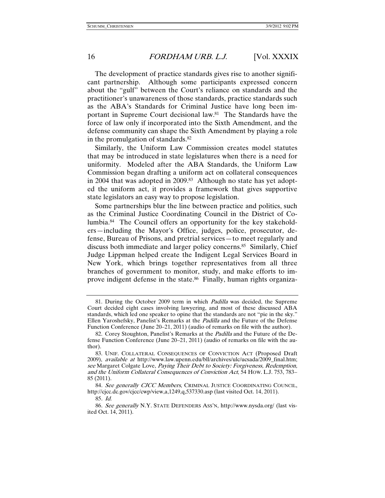The development of practice standards gives rise to another significant partnership. Although some participants expressed concern about the "gulf" between the Court's reliance on standards and the practitioner's unawareness of those standards, practice standards such as the ABA's Standards for Criminal Justice have long been important in Supreme Court decisional law.81 The Standards have the force of law only if incorporated into the Sixth Amendment, and the defense community can shape the Sixth Amendment by playing a role in the promulgation of standards.82

Similarly, the Uniform Law Commission creates model statutes that may be introduced in state legislatures when there is a need for uniformity. Modeled after the ABA Standards, the Uniform Law Commission began drafting a uniform act on collateral consequences in 2004 that was adopted in 2009.<sup>83</sup> Although no state has yet adopted the uniform act, it provides a framework that gives supportive state legislators an easy way to propose legislation.

Some partnerships blur the line between practice and politics, such as the Criminal Justice Coordinating Council in the District of Columbia.84 The Council offers an opportunity for the key stakeholders—including the Mayor's Office, judges, police, prosecutor, defense, Bureau of Prisons, and pretrial services—to meet regularly and discuss both immediate and larger policy concerns.85 Similarly, Chief Judge Lippman helped create the Indigent Legal Services Board in New York, which brings together representatives from all three branches of government to monitor, study, and make efforts to improve indigent defense in the state.<sup>86</sup> Finally, human rights organiza-

 <sup>81.</sup> During the October 2009 term in which Padilla was decided, the Supreme Court decided eight cases involving lawyering, and most of these discussed ABA standards, which led one speaker to opine that the standards are not "pie in the sky." Ellen Yaroshefsky, Panelist's Remarks at the Padilla and the Future of the Defense Function Conference (June 20–21, 2011) (audio of remarks on file with the author).

<sup>82.</sup> Corey Stoughton, Panelist's Remarks at the *Padilla* and the Future of the Defense Function Conference (June 20–21, 2011) (audio of remarks on file with the author).

 <sup>83.</sup> UNIF. COLLATERAL CONSEQUENCES OF CONVICTION ACT (Proposed Draft 2009), available at http://www.law.upenn.edu/bll/archives/ulc/ucsada/2009\_final.htm; see Margaret Colgate Love, Paying Their Debt to Society: Forgiveness, Redemption, and the Uniform Collateral Consequences of Conviction Act, 54 HOW. L.J. 753, 783– 85 (2011).

<sup>84.</sup> See generally CJCC Members, CRIMINAL JUSTICE COORDINATING COUNCIL, http://cjcc.dc.gov/cjcc/cwp/view,a,1249,q,537330.asp (last visited Oct. 14, 2011).

<sup>85</sup>. Id.

<sup>86</sup>. See generally N.Y. STATE DEFENDERS ASS'N, http://www.nysda.org/ (last visited Oct. 14, 2011).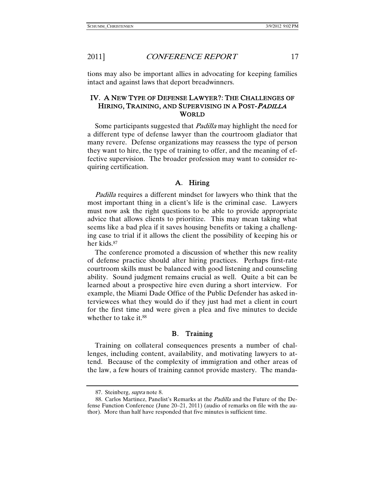tions may also be important allies in advocating for keeping families intact and against laws that deport breadwinners.

### IV. A NEW TYPE OF DEFENSE LAWYER?: THE CHALLENGES OF HIRING, TRAINING, AND SUPERVISING IN A POST-<sup>P</sup>ADILLA WORLD

Some participants suggested that *Padilla* may highlight the need for a different type of defense lawyer than the courtroom gladiator that many revere. Defense organizations may reassess the type of person they want to hire, the type of training to offer, and the meaning of effective supervision. The broader profession may want to consider requiring certification.

#### A. Hiring

Padilla requires a different mindset for lawyers who think that the most important thing in a client's life is the criminal case. Lawyers must now ask the right questions to be able to provide appropriate advice that allows clients to prioritize. This may mean taking what seems like a bad plea if it saves housing benefits or taking a challenging case to trial if it allows the client the possibility of keeping his or her kids.87

The conference promoted a discussion of whether this new reality of defense practice should alter hiring practices. Perhaps first-rate courtroom skills must be balanced with good listening and counseling ability. Sound judgment remains crucial as well. Quite a bit can be learned about a prospective hire even during a short interview. For example, the Miami Dade Office of the Public Defender has asked interviewees what they would do if they just had met a client in court for the first time and were given a plea and five minutes to decide whether to take it.<sup>88</sup>

#### B. Training

Training on collateral consequences presents a number of challenges, including content, availability, and motivating lawyers to attend. Because of the complexity of immigration and other areas of the law, a few hours of training cannot provide mastery. The manda-

 <sup>87.</sup> Steinberg, supra note 8.

<sup>88.</sup> Carlos Martinez, Panelist's Remarks at the *Padilla* and the Future of the Defense Function Conference (June 20–21, 2011) (audio of remarks on file with the author). More than half have responded that five minutes is sufficient time.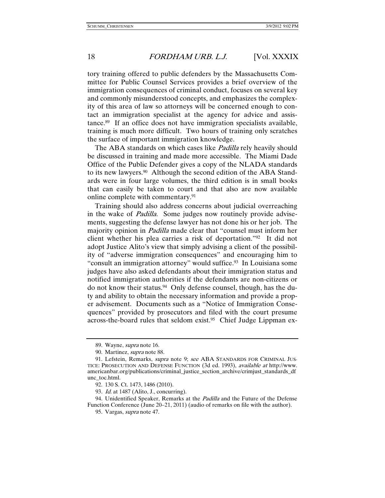tory training offered to public defenders by the Massachusetts Committee for Public Counsel Services provides a brief overview of the immigration consequences of criminal conduct, focuses on several key and commonly misunderstood concepts, and emphasizes the complexity of this area of law so attorneys will be concerned enough to contact an immigration specialist at the agency for advice and assistance.89 If an office does not have immigration specialists available, training is much more difficult. Two hours of training only scratches the surface of important immigration knowledge.

The ABA standards on which cases like *Padilla* rely heavily should be discussed in training and made more accessible. The Miami Dade Office of the Public Defender gives a copy of the NLADA standards to its new lawyers.<sup>90</sup> Although the second edition of the ABA Standards were in four large volumes, the third edition is in small books that can easily be taken to court and that also are now available online complete with commentary.91

Training should also address concerns about judicial overreaching in the wake of Padilla. Some judges now routinely provide advisements, suggesting the defense lawyer has not done his or her job. The majority opinion in *Padilla* made clear that "counsel must inform her client whether his plea carries a risk of deportation."92 It did not adopt Justice Alito's view that simply advising a client of the possibility of "adverse immigration consequences" and encouraging him to "consult an immigration attorney" would suffice.<sup>93</sup> In Louisiana some judges have also asked defendants about their immigration status and notified immigration authorities if the defendants are non-citizens or do not know their status.94 Only defense counsel, though, has the duty and ability to obtain the necessary information and provide a proper advisement. Documents such as a "Notice of Immigration Consequences" provided by prosecutors and filed with the court presume across-the-board rules that seldom exist.95 Chief Judge Lippman ex-

94. Unidentified Speaker, Remarks at the *Padilla* and the Future of the Defense Function Conference (June 20–21, 2011) (audio of remarks on file with the author).

 <sup>89.</sup> Wayne, supra note 16.

 <sup>90.</sup> Martinez, supra note 88.

<sup>91.</sup> Lefstein, Remarks, *supra* note 9; see ABA STANDARDS FOR CRIMINAL JUS-TICE: PROSECUTION AND DEFENSE FUNCTION (3d ed. 1993), available at http://www. americanbar.org/publications/criminal\_justice\_section\_archive/crimjust\_standards\_df unc\_toc.html.

 <sup>92. 130</sup> S. Ct. 1473, 1486 (2010).

<sup>93</sup>. Id. at 1487 (Alito, J., concurring).

 <sup>95.</sup> Vargas, supra note 47.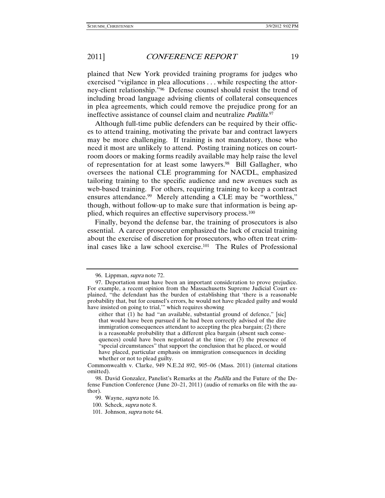plained that New York provided training programs for judges who exercised "vigilance in plea allocutions . . . while respecting the attorney-client relationship."96 Defense counsel should resist the trend of including broad language advising clients of collateral consequences in plea agreements, which could remove the prejudice prong for an ineffective assistance of counsel claim and neutralize *Padilla*.<sup>97</sup>

Although full-time public defenders can be required by their offices to attend training, motivating the private bar and contract lawyers may be more challenging. If training is not mandatory, those who need it most are unlikely to attend. Posting training notices on courtroom doors or making forms readily available may help raise the level of representation for at least some lawyers.98 Bill Gallagher, who oversees the national CLE programming for NACDL, emphasized tailoring training to the specific audience and new avenues such as web-based training. For others, requiring training to keep a contract ensures attendance.<sup>99</sup> Merely attending a CLE may be "worthless," though, without follow-up to make sure that information is being applied, which requires an effective supervisory process.100

Finally, beyond the defense bar, the training of prosecutors is also essential. A career prosecutor emphasized the lack of crucial training about the exercise of discretion for prosecutors, who often treat criminal cases like a law school exercise.101 The Rules of Professional

 <sup>96.</sup> Lippman, supra note 72.

 <sup>97.</sup> Deportation must have been an important consideration to prove prejudice. For example, a recent opinion from the Massachusetts Supreme Judicial Court explained, "the defendant has the burden of establishing that 'there is a reasonable probability that, but for counsel's errors, he would not have pleaded guilty and would have insisted on going to trial,'" which requires showing

either that (1) he had "an available, substantial ground of defence," [sic] that would have been pursued if he had been correctly advised of the dire immigration consequences attendant to accepting the plea bargain; (2) there is a reasonable probability that a different plea bargain (absent such consequences) could have been negotiated at the time; or (3) the presence of "special circumstances" that support the conclusion that he placed, or would have placed, particular emphasis on immigration consequences in deciding whether or not to plead guilty.

Commonwealth v. Clarke, 949 N.E.2d 892, 905–06 (Mass. 2011) (internal citations omitted).

 <sup>98.</sup> David Gonzalez, Panelist's Remarks at the Padilla and the Future of the Defense Function Conference (June 20–21, 2011) (audio of remarks on file with the author).

<sup>99.</sup> Wayne, *supra* note 16.

 <sup>100.</sup> Scheck, supra note 8.

 <sup>101.</sup> Johnson, supra note 64.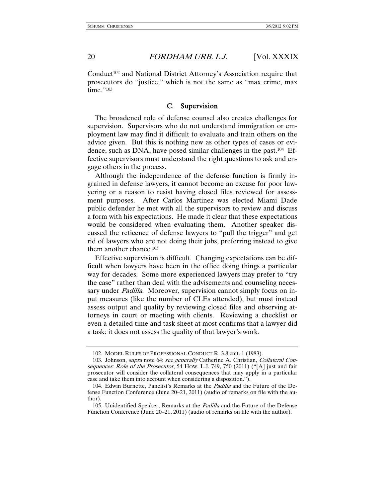Conduct<sup>102</sup> and National District Attorney's Association require that prosecutors do "justice," which is not the same as "max crime, max time."103

#### C. Supervision

The broadened role of defense counsel also creates challenges for supervision. Supervisors who do not understand immigration or employment law may find it difficult to evaluate and train others on the advice given. But this is nothing new as other types of cases or evidence, such as DNA, have posed similar challenges in the past.104 Effective supervisors must understand the right questions to ask and engage others in the process.

Although the independence of the defense function is firmly ingrained in defense lawyers, it cannot become an excuse for poor lawyering or a reason to resist having closed files reviewed for assessment purposes. After Carlos Martinez was elected Miami Dade public defender he met with all the supervisors to review and discuss a form with his expectations. He made it clear that these expectations would be considered when evaluating them. Another speaker discussed the reticence of defense lawyers to "pull the trigger" and get rid of lawyers who are not doing their jobs, preferring instead to give them another chance.105

Effective supervision is difficult. Changing expectations can be difficult when lawyers have been in the office doing things a particular way for decades. Some more experienced lawyers may prefer to "try the case" rather than deal with the advisements and counseling necessary under *Padilla*. Moreover, supervision cannot simply focus on input measures (like the number of CLEs attended), but must instead assess output and quality by reviewing closed files and observing attorneys in court or meeting with clients. Reviewing a checklist or even a detailed time and task sheet at most confirms that a lawyer did a task; it does not assess the quality of that lawyer's work.

 <sup>102.</sup> MODEL RULES OF PROFESSIONAL CONDUCT R. 3.8 cmt. 1 (1983).

 <sup>103.</sup> Johnson, supra note 64; see generally Catherine A. Christian, Collateral Consequences: Role of the Prosecutor, 54 How. L.J. 749, 750 (2011) ("[A] just and fair prosecutor will consider the collateral consequences that may apply in a particular case and take them into account when considering a disposition.").

<sup>104.</sup> Edwin Burnette, Panelist's Remarks at the *Padilla* and the Future of the Defense Function Conference (June 20–21, 2011) (audio of remarks on file with the author).

 <sup>105.</sup> Unidentified Speaker, Remarks at the Padilla and the Future of the Defense Function Conference (June 20–21, 2011) (audio of remarks on file with the author).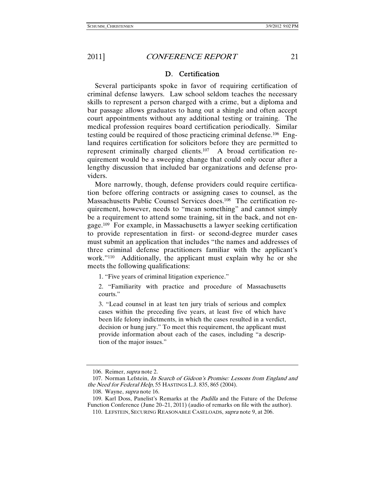#### D. Certification

Several participants spoke in favor of requiring certification of criminal defense lawyers. Law school seldom teaches the necessary skills to represent a person charged with a crime, but a diploma and bar passage allows graduates to hang out a shingle and often accept court appointments without any additional testing or training. The medical profession requires board certification periodically. Similar testing could be required of those practicing criminal defense.106 England requires certification for solicitors before they are permitted to represent criminally charged clients.107 A broad certification requirement would be a sweeping change that could only occur after a lengthy discussion that included bar organizations and defense providers.

More narrowly, though, defense providers could require certification before offering contracts or assigning cases to counsel, as the Massachusetts Public Counsel Services does.108 The certification requirement, however, needs to "mean something" and cannot simply be a requirement to attend some training, sit in the back, and not engage.109 For example, in Massachusetts a lawyer seeking certification to provide representation in first- or second-degree murder cases must submit an application that includes "the names and addresses of three criminal defense practitioners familiar with the applicant's work."110 Additionally, the applicant must explain why he or she meets the following qualifications:

1. "Five years of criminal litigation experience."

2. "Familiarity with practice and procedure of Massachusetts courts."

3. "Lead counsel in at least ten jury trials of serious and complex cases within the preceding five years, at least five of which have been life felony indictments, in which the cases resulted in a verdict, decision or hung jury." To meet this requirement, the applicant must provide information about each of the cases, including "a description of the major issues."

 <sup>106.</sup> Reimer, supra note 2.

 <sup>107.</sup> Norman Lefstein, In Search of Gideon's Promise: Lessons from England and the Need for Federal Help, 55 HASTINGS L.J. 835, 865 (2004).

 <sup>108.</sup> Wayne, supra note 16.

 <sup>109.</sup> Karl Doss, Panelist's Remarks at the Padilla and the Future of the Defense Function Conference (June 20–21, 2011) (audio of remarks on file with the author).

 <sup>110.</sup> LEFSTEIN, SECURING REASONABLE CASELOADS, supra note 9, at 206.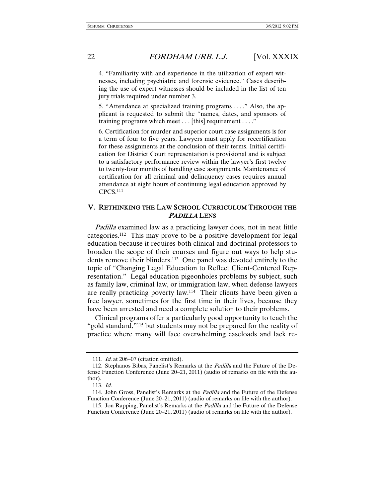4. "Familiarity with and experience in the utilization of expert witnesses, including psychiatric and forensic evidence." Cases describing the use of expert witnesses should be included in the list of ten jury trials required under number 3.

5. "Attendance at specialized training programs . . . ." Also, the applicant is requested to submit the "names, dates, and sponsors of training programs which meet . . . [this] requirement . . . ."

6. Certification for murder and superior court case assignments is for a term of four to five years. Lawyers must apply for recertification for these assignments at the conclusion of their terms. Initial certification for District Court representation is provisional and is subject to a satisfactory performance review within the lawyer's first twelve to twenty-four months of handling case assignments. Maintenance of certification for all criminal and delinquency cases requires annual attendance at eight hours of continuing legal education approved by CPCS.111

#### V. RETHINKING THE LAW SCHOOL CURRICULUM THROUGH THE PADILLA LENS

Padilla examined law as a practicing lawyer does, not in neat little categories.112 This may prove to be a positive development for legal education because it requires both clinical and doctrinal professors to broaden the scope of their courses and figure out ways to help students remove their blinders.113 One panel was devoted entirely to the topic of "Changing Legal Education to Reflect Client-Centered Representation." Legal education pigeonholes problems by subject, such as family law, criminal law, or immigration law, when defense lawyers are really practicing poverty law.114 Their clients have been given a free lawyer, sometimes for the first time in their lives, because they have been arrested and need a complete solution to their problems.

Clinical programs offer a particularly good opportunity to teach the "gold standard,"115 but students may not be prepared for the reality of practice where many will face overwhelming caseloads and lack re-

<sup>111</sup>. Id. at 206–07 (citation omitted).

 <sup>112.</sup> Stephanos Bibas, Panelist's Remarks at the Padilla and the Future of the Defense Function Conference (June 20–21, 2011) (audio of remarks on file with the author).

<sup>113</sup>. Id.

<sup>114.</sup> John Gross, Panelist's Remarks at the *Padilla* and the Future of the Defense Function Conference (June 20–21, 2011) (audio of remarks on file with the author).

<sup>115.</sup> Jon Rapping, Panelist's Remarks at the *Padilla* and the Future of the Defense Function Conference (June 20–21, 2011) (audio of remarks on file with the author).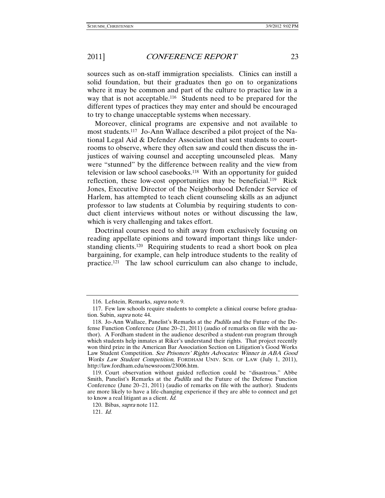sources such as on-staff immigration specialists. Clinics can instill a solid foundation, but their graduates then go on to organizations where it may be common and part of the culture to practice law in a way that is not acceptable.116 Students need to be prepared for the different types of practices they may enter and should be encouraged to try to change unacceptable systems when necessary.

Moreover, clinical programs are expensive and not available to most students.117 Jo-Ann Wallace described a pilot project of the National Legal Aid & Defender Association that sent students to courtrooms to observe, where they often saw and could then discuss the injustices of waiving counsel and accepting uncounseled pleas. Many were "stunned" by the difference between reality and the view from television or law school casebooks.118 With an opportunity for guided reflection, these low-cost opportunities may be beneficial.119 Rick Jones, Executive Director of the Neighborhood Defender Service of Harlem, has attempted to teach client counseling skills as an adjunct professor to law students at Columbia by requiring students to conduct client interviews without notes or without discussing the law, which is very challenging and takes effort.

Doctrinal courses need to shift away from exclusively focusing on reading appellate opinions and toward important things like understanding clients.120 Requiring students to read a short book on plea bargaining, for example, can help introduce students to the reality of practice.121 The law school curriculum can also change to include,

 <sup>116.</sup> Lefstein, Remarks, supra note 9.

 <sup>117.</sup> Few law schools require students to complete a clinical course before graduation. Subin, supra note 44.

 <sup>118.</sup> Jo-Ann Wallace, Panelist's Remarks at the Padilla and the Future of the Defense Function Conference (June 20–21, 2011) (audio of remarks on file with the author). A Fordham student in the audience described a student-run program through which students help inmates at Riker's understand their rights. That project recently won third prize in the American Bar Association Section on Litigation's Good Works Law Student Competition. See Prisoners' Rights Advocates: Winner in ABA Good Works Law Student Competition, FORDHAM UNIV. SCH. OF LAW (July 1, 2011), http://law.fordham.edu/newsroom/23006.htm.

 <sup>119.</sup> Court observation without guided reflection could be "disastrous." Abbe Smith, Panelist's Remarks at the *Padilla* and the Future of the Defense Function Conference (June 20–21, 2011) (audio of remarks on file with the author). Students are more likely to have a life-changing experience if they are able to connect and get to know a real litigant as a client. Id.

<sup>120.</sup> Bibas, *supra* note 112.

<sup>121</sup>. Id.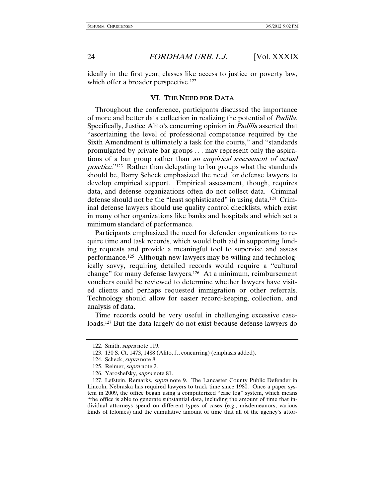ideally in the first year, classes like access to justice or poverty law, which offer a broader perspective.<sup>122</sup>

#### VI. THE NEED FOR DATA

Throughout the conference, participants discussed the importance of more and better data collection in realizing the potential of Padilla. Specifically, Justice Alito's concurring opinion in Padilla asserted that "ascertaining the level of professional competence required by the Sixth Amendment is ultimately a task for the courts," and "standards promulgated by private bar groups . . . may represent only the aspirations of a bar group rather than an empirical assessment of actual practice."123 Rather than delegating to bar groups what the standards should be, Barry Scheck emphasized the need for defense lawyers to develop empirical support. Empirical assessment, though, requires data, and defense organizations often do not collect data. Criminal defense should not be the "least sophisticated" in using data.124 Criminal defense lawyers should use quality control checklists, which exist in many other organizations like banks and hospitals and which set a minimum standard of performance.

Participants emphasized the need for defender organizations to require time and task records, which would both aid in supporting funding requests and provide a meaningful tool to supervise and assess performance.125 Although new lawyers may be willing and technologically savvy, requiring detailed records would require a "cultural change" for many defense lawyers.126 At a minimum, reimbursement vouchers could be reviewed to determine whether lawyers have visited clients and perhaps requested immigration or other referrals. Technology should allow for easier record-keeping, collection, and analysis of data.

Time records could be very useful in challenging excessive caseloads.127 But the data largely do not exist because defense lawyers do

 <sup>122.</sup> Smith, supra note 119.

 <sup>123. 130</sup> S. Ct. 1473, 1488 (Alito, J., concurring) (emphasis added).

 <sup>124.</sup> Scheck, supra note 8.

 <sup>125.</sup> Reimer, supra note 2.

 <sup>126.</sup> Yaroshefsky, supra note 81.

<sup>127.</sup> Lefstein, Remarks, *supra* note 9. The Lancaster County Public Defender in Lincoln, Nebraska has required lawyers to track time since 1980. Once a paper system in 2009, the office began using a computerized "case log" system, which means "the office is able to generate substantial data, including the amount of time that individual attorneys spend on different types of cases (e.g., misdemeanors, various kinds of felonies) and the cumulative amount of time that all of the agency's attor-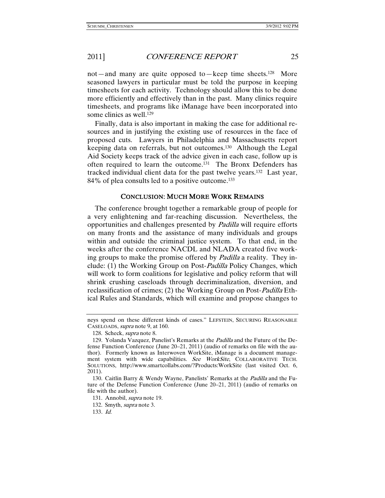not—and many are quite opposed to—keep time sheets.<sup>128</sup> More seasoned lawyers in particular must be told the purpose in keeping timesheets for each activity. Technology should allow this to be done more efficiently and effectively than in the past. Many clinics require timesheets, and programs like iManage have been incorporated into some clinics as well.129

Finally, data is also important in making the case for additional resources and in justifying the existing use of resources in the face of proposed cuts. Lawyers in Philadelphia and Massachusetts report keeping data on referrals, but not outcomes.130 Although the Legal Aid Society keeps track of the advice given in each case, follow up is often required to learn the outcome.131 The Bronx Defenders has tracked individual client data for the past twelve years.132 Last year, 84% of plea consults led to a positive outcome.133

#### CONCLUSION: MUCH MORE WORK REMAINS

The conference brought together a remarkable group of people for a very enlightening and far-reaching discussion. Nevertheless, the opportunities and challenges presented by Padilla will require efforts on many fronts and the assistance of many individuals and groups within and outside the criminal justice system. To that end, in the weeks after the conference NACDL and NLADA created five working groups to make the promise offered by *Padilla* a reality. They include: (1) the Working Group on Post-Padilla Policy Changes, which will work to form coalitions for legislative and policy reform that will shrink crushing caseloads through decriminalization, diversion, and reclassification of crimes; (2) the Working Group on Post-Padilla Ethical Rules and Standards, which will examine and propose changes to

neys spend on these different kinds of cases." LEFSTEIN, SECURING REASONABLE CASELOADS, supra note 9, at 160.

 <sup>128.</sup> Scheck, supra note 8.

<sup>129.</sup> Yolanda Vazquez, Panelist's Remarks at the *Padilla* and the Future of the Defense Function Conference (June 20–21, 2011) (audio of remarks on file with the author). Formerly known as Interwoven WorkSite, iManage is a document management system with wide capabilities. See WorkSite, COLLABORATIVE TECH. SOLUTIONS, http://www.smartcollabs.com/?Products:WorkSite (last visited Oct. 6, 2011).

<sup>130.</sup> Caitlin Barry & Wendy Wayne, Panelists' Remarks at the *Padilla* and the Future of the Defense Function Conference (June 20–21, 2011) (audio of remarks on file with the author).

 <sup>131.</sup> Annobil, supra note 19.

<sup>132.</sup> Smyth, *supra* note 3.

<sup>133</sup>. Id.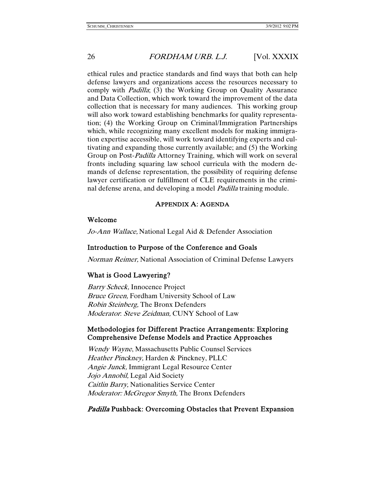ethical rules and practice standards and find ways that both can help defense lawyers and organizations access the resources necessary to comply with *Padilla*; (3) the Working Group on Quality Assurance and Data Collection, which work toward the improvement of the data collection that is necessary for many audiences. This working group will also work toward establishing benchmarks for quality representation; (4) the Working Group on Criminal/Immigration Partnerships which, while recognizing many excellent models for making immigration expertise accessible, will work toward identifying experts and cultivating and expanding those currently available; and (5) the Working Group on Post-Padilla Attorney Training, which will work on several fronts including squaring law school curricula with the modern demands of defense representation, the possibility of requiring defense lawyer certification or fulfillment of CLE requirements in the criminal defense arena, and developing a model *Padilla* training module.

#### APPENDIX A: AGENDA

#### Welcome

Jo-Ann Wallace, National Legal Aid & Defender Association

#### Introduction to Purpose of the Conference and Goals

Norman Reimer, National Association of Criminal Defense Lawyers

#### What is Good Lawyering?

Barry Scheck, Innocence Project Bruce Green, Fordham University School of Law Robin Steinberg, The Bronx Defenders Moderator: Steve Zeidman, CUNY School of Law

#### Methodologies for Different Practice Arrangements: Exploring Comprehensive Defense Models and Practice Approaches

Wendy Wayne, Massachusetts Public Counsel Services Heather Pinckney, Harden & Pinckney, PLLC Angie Junck, Immigrant Legal Resource Center Jojo Annobil, Legal Aid Society Caitlin Barry, Nationalities Service Center Moderator: McGregor Smyth, The Bronx Defenders

#### Padilla Pushback: Overcoming Obstacles that Prevent Expansion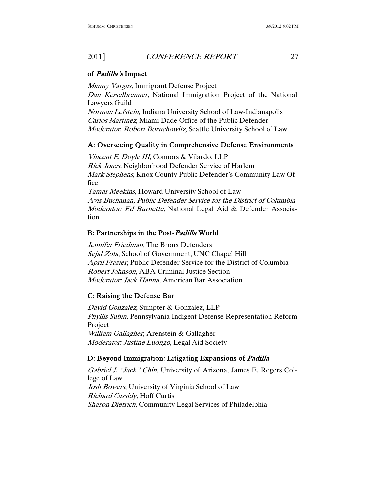#### of Padilla's Impact

Manny Vargas, Immigrant Defense Project Dan Kesselbrenner, National Immigration Project of the National Lawyers Guild

Norman Lefstein, Indiana University School of Law-Indianapolis Carlos Martinez, Miami Dade Office of the Public Defender Moderator: Robert Boruchowitz, Seattle University School of Law

# A: Overseeing Quality in Comprehensive Defense Environments

Vincent E. Doyle III, Connors & Vilardo, LLP Rick Jones, Neighborhood Defender Service of Harlem Mark Stephens, Knox County Public Defender's Community Law Office Tamar Meekins, Howard University School of Law

Avis Buchanan, Public Defender Service for the District of Columbia Moderator: Ed Burnette, National Legal Aid & Defender Association

#### B: Partnerships in the Post-Padilla World

Jennifer Friedman, The Bronx Defenders Sejal Zota, School of Government, UNC Chapel Hill April Frazier, Public Defender Service for the District of Columbia Robert Johnson, ABA Criminal Justice Section Moderator: Jack Hanna, American Bar Association

# C: Raising the Defense Bar

David Gonzalez, Sumpter & Gonzalez, LLP Phyllis Subin, Pennsylvania Indigent Defense Representation Reform Project William Gallagher, Arenstein & Gallagher Moderator: Justine Luongo, Legal Aid Society

#### D: Beyond Immigration: Litigating Expansions of *Padilla*

Gabriel J. "Jack" Chin, University of Arizona, James E. Rogers College of Law Josh Bowers, University of Virginia School of Law Richard Cassidy, Hoff Curtis Sharon Dietrich, Community Legal Services of Philadelphia